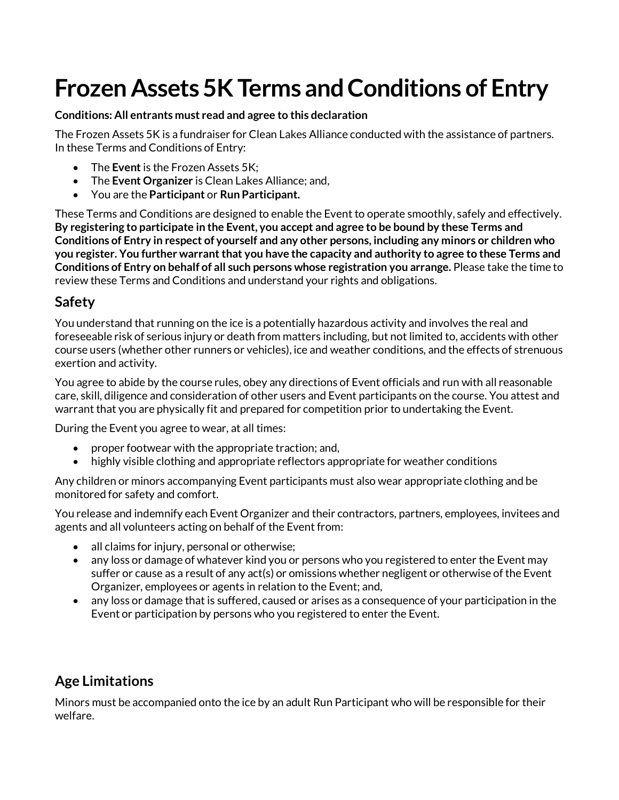# **Frozen Assets 5KTerms and Conditions of Entry**

#### **Conditions: All entrants must read and agree to this declaration**

The Frozen Assets 5K is a fundraiser for Clean Lakes Alliance conducted with the assistance of partners. In these Terms and Conditions of Entry:

- The **Event** is the Frozen Assets 5K;
- The **Event Organizer** is Clean Lakes Alliance; and,
- You are the **Participant** or **Run Participant.**

These Terms and Conditions are designed to enable the Event to operate smoothly, safely and effectively. **By registering to participate in the Event, you accept and agree to be bound by these Terms and Conditions of Entry in respect of yourself and any other persons, including any minors or children who you register. You further warrant that you have the capacity and authority to agree to these Terms and Conditions of Entry on behalf of all such persons whose registration you arrange.** Please take the time to review these Terms and Conditions and understand your rights and obligations.

### **Safety**

You understand that running on the ice is a potentially hazardous activity and involves the real and foreseeable risk of serious injury or death from matters including, but not limited to, accidents with other course users (whether other runners or vehicles), ice and weather conditions, and the effects of strenuous exertion and activity.

You agree to abide by the course rules, obey any directions of Event officials and run with all reasonable care, skill, diligence and consideration of other users and Event participants on the course. You attest and warrant that you are physically fit and prepared for competition prior to undertaking the Event.

During the Event you agree to wear, at all times:

- proper footwear with the appropriate traction; and,
- highly visible clothing and appropriate reflectors appropriate for weather conditions

Any children or minors accompanying Event participants must also wear appropriate clothing and be monitored for safety and comfort.

You release and indemnify each Event Organizer and their contractors, partners, employees, invitees and agents and all volunteers acting on behalf of the Event from:

- all claims for injury, personal or otherwise;
- any loss or damage of whatever kind you or persons who you registered to enter the Event may suffer or cause as a result of any act(s) or omissions whether negligent or otherwise of the Event Organizer, employees or agents in relation to the Event; and,
- any loss or damage that is suffered, caused or arises as a consequence of your participation in the Event or participation by persons who you registered to enter the Event.

# **Age Limitations**

Minors must be accompanied onto the ice by an adult Run Participant who will be responsible for their welfare.